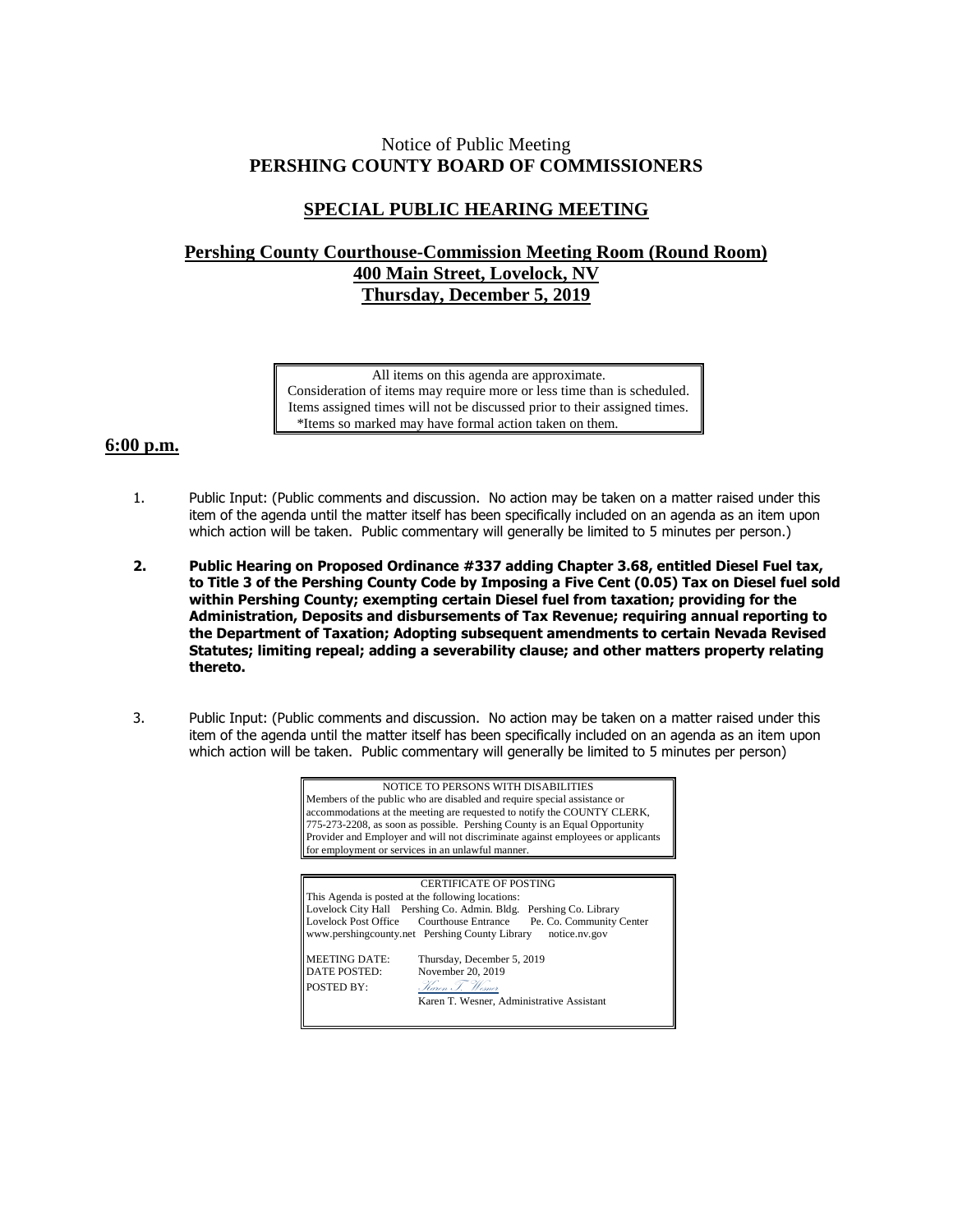## Notice of Public Meeting **PERSHING COUNTY BOARD OF COMMISSIONERS**

## **SPECIAL PUBLIC HEARING MEETING**

## **Pershing County Courthouse-Commission Meeting Room (Round Room) 400 Main Street, Lovelock, NV Thursday, December 5, 2019**

All items on this agenda are approximate. Consideration of items may require more or less time than is scheduled. Items assigned times will not be discussed prior to their assigned times. \*Items so marked may have formal action taken on them.

## **6:00 p.m.**

- 1. Public Input: (Public comments and discussion. No action may be taken on a matter raised under this item of the agenda until the matter itself has been specifically included on an agenda as an item upon which action will be taken. Public commentary will generally be limited to 5 minutes per person.)
- **2. Public Hearing on Proposed Ordinance #337 adding Chapter 3.68, entitled Diesel Fuel tax, to Title 3 of the Pershing County Code by Imposing a Five Cent (0.05) Tax on Diesel fuel sold within Pershing County; exempting certain Diesel fuel from taxation; providing for the Administration, Deposits and disbursements of Tax Revenue; requiring annual reporting to the Department of Taxation; Adopting subsequent amendments to certain Nevada Revised Statutes; limiting repeal; adding a severability clause; and other matters property relating thereto.**
- 3. Public Input: (Public comments and discussion. No action may be taken on a matter raised under this item of the agenda until the matter itself has been specifically included on an agenda as an item upon which action will be taken. Public commentary will generally be limited to 5 minutes per person)

| NOTICE TO PERSONS WITH DISABILITIES<br>Members of the public who are disabled and require special assistance or<br>accommodations at the meeting are requested to notify the COUNTY CLERK,<br>775-273-2208, as soon as possible. Pershing County is an Equal Opportunity<br>Provider and Employer and will not discriminate against employees or applicants<br>for employment or services in an unlawful manner. |                                                                    |
|------------------------------------------------------------------------------------------------------------------------------------------------------------------------------------------------------------------------------------------------------------------------------------------------------------------------------------------------------------------------------------------------------------------|--------------------------------------------------------------------|
|                                                                                                                                                                                                                                                                                                                                                                                                                  |                                                                    |
| <b>CERTIFICATE OF POSTING</b><br>This Agenda is posted at the following locations:<br>Lovelock City Hall Pershing Co. Admin. Bldg. Pershing Co. Library<br>Lovelock Post Office Courthouse Entrance<br>Pe. Co. Community Center<br>www.pershingcounty.net Pershing County Library<br>notice.nv.gov                                                                                                               |                                                                    |
| <b>MEETING DATE:</b><br><b>DATE POSTED:</b><br>POSTED BY:                                                                                                                                                                                                                                                                                                                                                        | Thursday, December 5, 2019<br>November 20, 2019<br>Haren I. Wesner |

Karen T. Wesner, Administrative Assistant